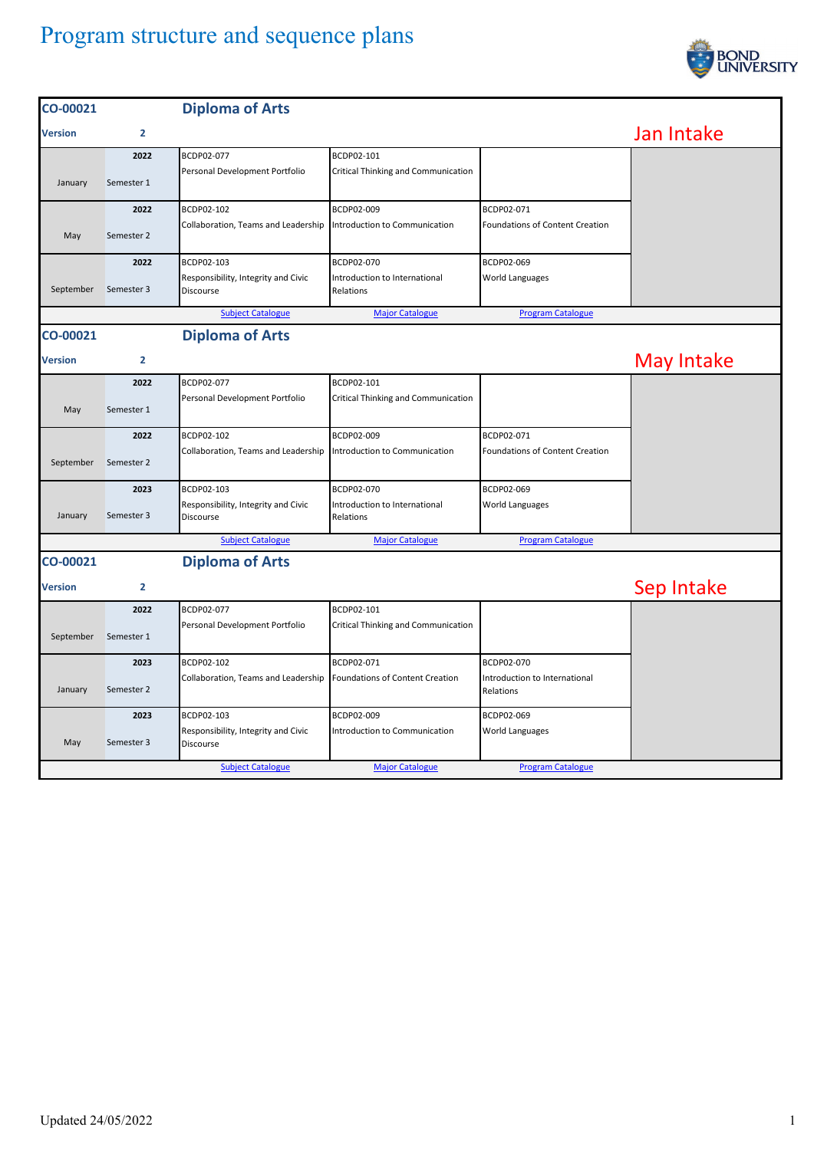## Program structure and sequence plans



| CO-00021  |                | <b>Diploma of Arts</b>                           |                                            |                                            |                   |
|-----------|----------------|--------------------------------------------------|--------------------------------------------|--------------------------------------------|-------------------|
| Version   | $\mathbf{2}$   |                                                  |                                            |                                            | Jan Intake        |
|           | 2022           | BCDP02-077                                       | BCDP02-101                                 |                                            |                   |
| January   | Semester 1     | Personal Development Portfolio                   | Critical Thinking and Communication        |                                            |                   |
|           | 2022           | BCDP02-102                                       | BCDP02-009                                 | BCDP02-071                                 |                   |
| May       | Semester 2     | Collaboration, Teams and Leadership              | Introduction to Communication              | Foundations of Content Creation            |                   |
|           | 2022           | BCDP02-103                                       | BCDP02-070                                 | BCDP02-069                                 |                   |
| September | Semester 3     | Responsibility, Integrity and Civic<br>Discourse | Introduction to International<br>Relations | World Languages                            |                   |
|           |                | <b>Subject Catalogue</b>                         | <b>Major Catalogue</b>                     | <b>Program Catalogue</b>                   |                   |
| CO-00021  |                | <b>Diploma of Arts</b>                           |                                            |                                            |                   |
| Version   | $\overline{2}$ |                                                  |                                            |                                            | <b>May Intake</b> |
|           | 2022           | BCDP02-077                                       | BCDP02-101                                 |                                            |                   |
| May       | Semester 1     | Personal Development Portfolio                   | Critical Thinking and Communication        |                                            |                   |
|           | 2022           | BCDP02-102                                       | BCDP02-009                                 | BCDP02-071                                 |                   |
| September | Semester 2     | Collaboration, Teams and Leadership              | Introduction to Communication              | <b>Foundations of Content Creation</b>     |                   |
|           | 2023           | BCDP02-103                                       | BCDP02-070                                 | BCDP02-069                                 |                   |
| January   | Semester 3     | Responsibility, Integrity and Civic<br>Discourse | Introduction to International<br>Relations | World Languages                            |                   |
|           |                | <b>Subject Catalogue</b>                         | <b>Major Catalogue</b>                     | <b>Program Catalogue</b>                   |                   |
| CO-00021  |                | <b>Diploma of Arts</b>                           |                                            |                                            |                   |
| Version   | $\overline{2}$ |                                                  |                                            |                                            | Sep Intake        |
|           | 2022           | BCDP02-077                                       | BCDP02-101                                 |                                            |                   |
| September | Semester 1     | Personal Development Portfolio                   | Critical Thinking and Communication        |                                            |                   |
|           | 2023           | BCDP02-102                                       | BCDP02-071                                 | BCDP02-070                                 |                   |
| January   | Semester 2     | Collaboration, Teams and Leadership              | Foundations of Content Creation            | Introduction to International<br>Relations |                   |
|           | 2023           | BCDP02-103                                       | BCDP02-009                                 | BCDP02-069                                 |                   |
| May       | Semester 3     | Responsibility, Integrity and Civic<br>Discourse | Introduction to Communication              | World Languages                            |                   |
|           |                | <b>Subject Catalogue</b>                         | <b>Major Catalogue</b>                     | <b>Program Catalogue</b>                   |                   |